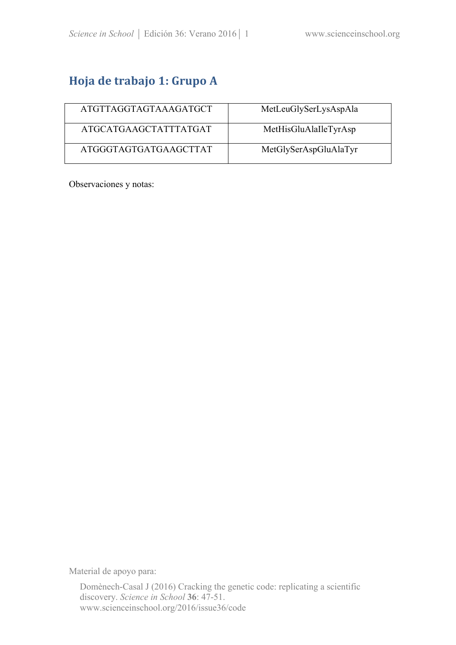# **Hoja de trabajo 1: Grupo A**

| ATGTTAGGTAGTAAAGATGCT | MetLeuGlySerLysAspAla |
|-----------------------|-----------------------|
| ATGCATGAAGCTATTTATGAT | MetHisGluAlaIleTyrAsp |
| ATGGGTAGTGATGAAGCTTAT | MetGlySerAspGluAlaTyr |

Observaciones y notas:

Material de apoyo para: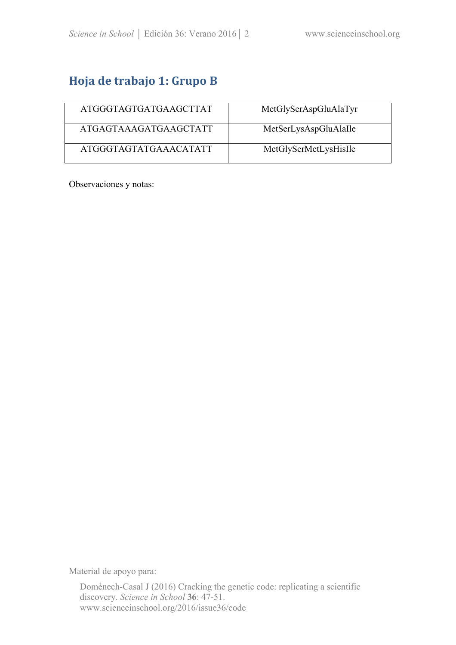## **Hoja de trabajo 1: Grupo B**

| ATGGGTAGTGATGAAGCTTAT | MetGlySerAspGluAlaTyr |
|-----------------------|-----------------------|
| ATGAGTAAAGATGAAGCTATT | MetSerLysAspGluAlaIle |
| ATGGGTAGTATGAAACATATT | MetGlySerMetLysHisIle |

Observaciones y notas:

Material de apoyo para: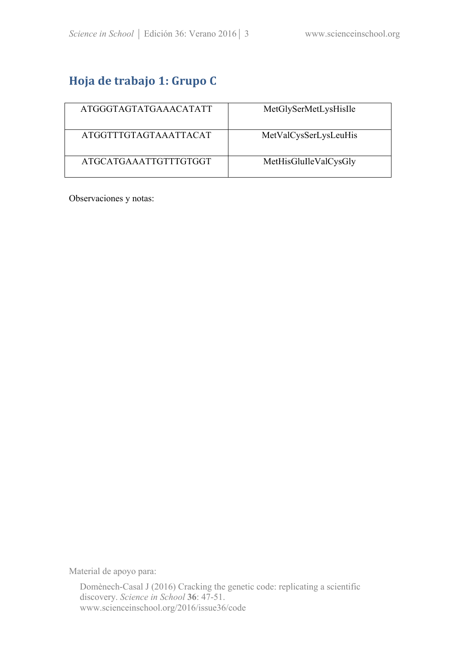# **Hoja de trabajo 1: Grupo C**

| ATGGGTAGTATGAAACATATT | MetGlySerMetLysHisIle |
|-----------------------|-----------------------|
| ATGGTTTGTAGTAAATTACAT | MetValCysSerLysLeuHis |
| ATGCATGAAATTGTTTGTGGT | MetHisGluIleValCysGly |

Observaciones y notas:

Material de apoyo para: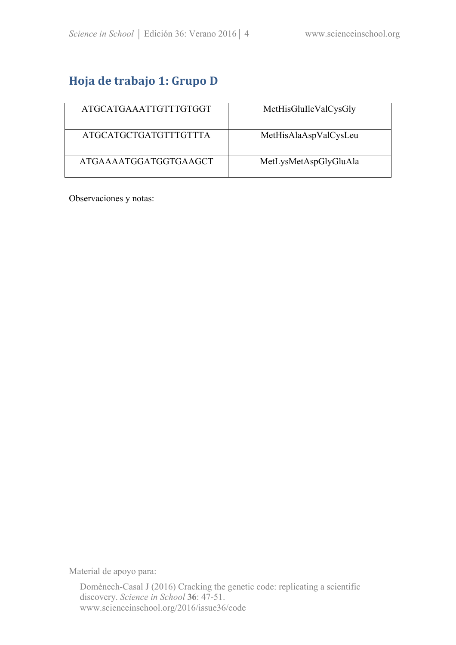# **Hoja de trabajo 1: Grupo D**

| ATGCATGAAATTGTTTGTGGT | MetHisGluIleValCysGly |
|-----------------------|-----------------------|
| ATGCATGCTGATGTTTGTTTA | MetHisAlaAspValCysLeu |
| ATGAAAATGGATGGTGAAGCT | MetLysMetAspGlyGluAla |

Observaciones y notas:

Material de apoyo para: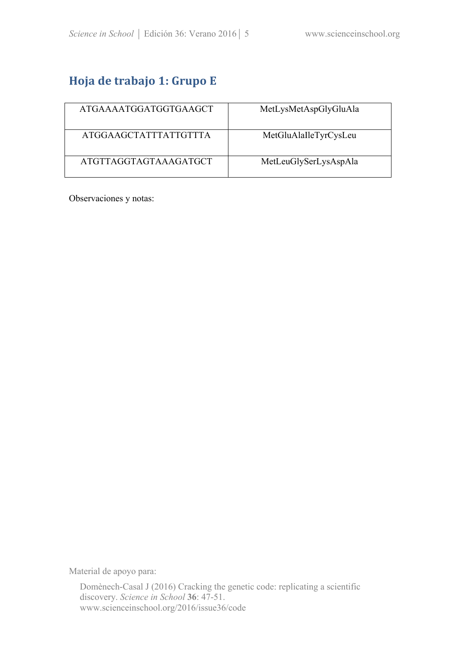# **Hoja de trabajo 1: Grupo E**

| ATGAAAATGGATGGTGAAGCT | MetLysMetAspGlyGluAla |
|-----------------------|-----------------------|
| ATGGAAGCTATTTATTGTTTA | MetGluAlaIleTyrCysLeu |
| ATGTTAGGTAGTAAAGATGCT | MetLeuGlySerLysAspAla |

Observaciones y notas:

Material de apoyo para: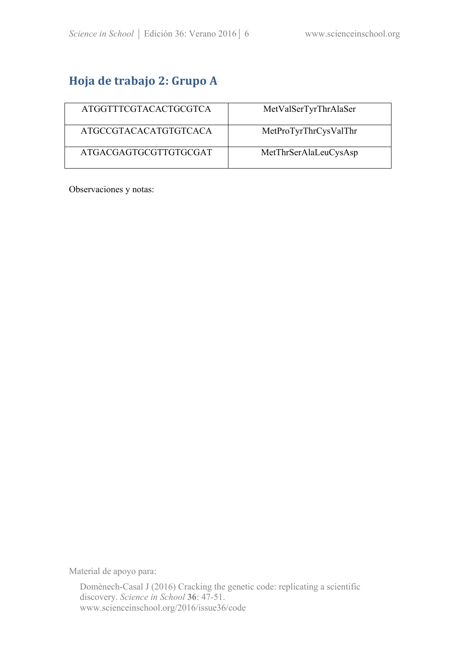# **Hoja de trabajo 2: Grupo A**

| ATGGTTTCGTACACTGCGTCA | MetValSerTyrThrAlaSer |
|-----------------------|-----------------------|
| ATGCCGTACACATGTGTCACA | MetProTyrThrCysValThr |
| ATGACGAGTGCGTTGTGCGAT | MetThrSerAlaLeuCysAsp |

Observaciones y notas:

Material de apoyo para: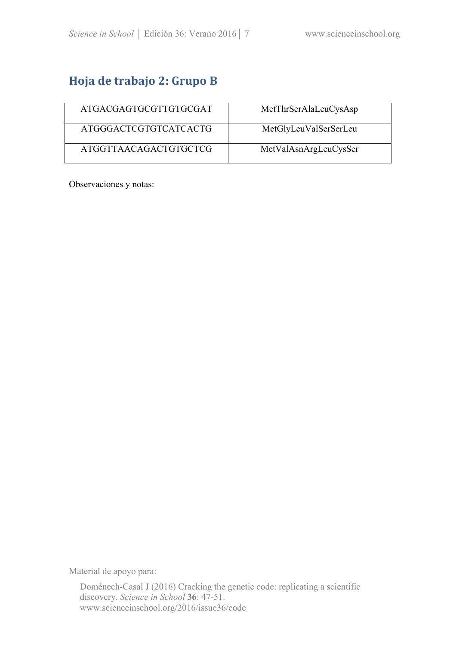## **Hoja de trabajo 2: Grupo B**

| ATGACGAGTGCGTTGTGCGAT | MetThrSerAlaLeuCysAsp |
|-----------------------|-----------------------|
| ATGGGACTCGTGTCATCACTG | MetGlyLeuValSerSerLeu |
| ATGGTTAACAGACTGTGCTCG | MetValAsnArgLeuCysSer |

Observaciones y notas:

Material de apoyo para: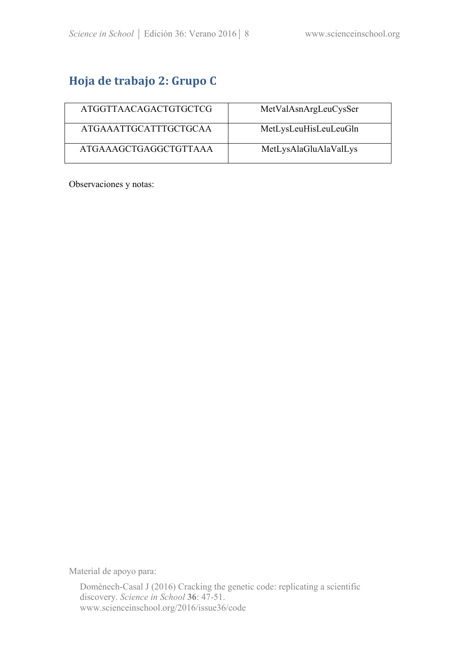# **Hoja de trabajo 2: Grupo C**

| ATGGTTAACAGACTGTGCTCG | MetValAsnArgLeuCysSer |
|-----------------------|-----------------------|
| ATGAAATTGCATTTGCTGCAA | MetLysLeuHisLeuLeuGln |
| ATGAAAGCTGAGGCTGTTAAA | MetLysAlaGluAlaValLys |

Observaciones y notas:

Material de apoyo para: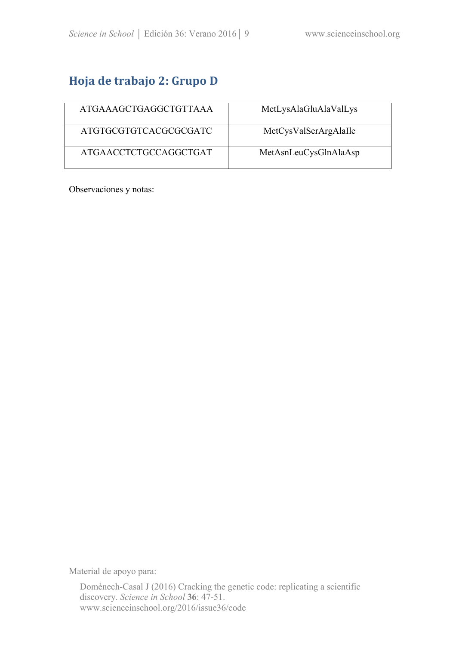## **Hoja de trabajo 2: Grupo D**

| ATGAAAGCTGAGGCTGTTAAA | MetLysAlaGluAlaValLys |
|-----------------------|-----------------------|
| ATGTGCGTGTCACGCGCGATC | MetCysValSerArgAlaIle |
| ATGAACCTCTGCCAGGCTGAT | MetAsnLeuCysGlnAlaAsp |

Observaciones y notas:

Material de apoyo para: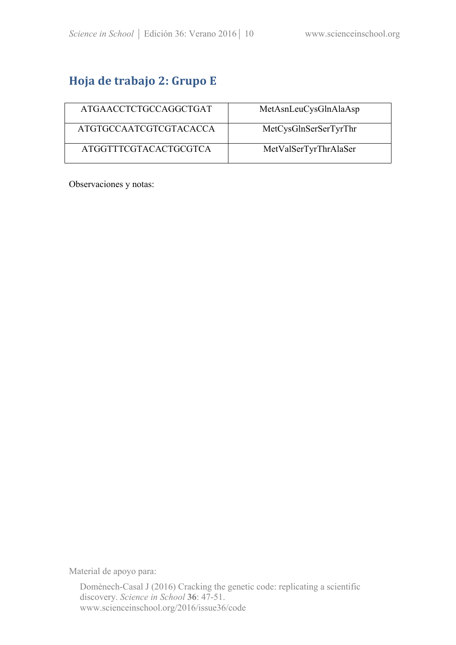# **Hoja de trabajo 2: Grupo E**

| ATGAACCTCTGCCAGGCTGAT  | MetAsnLeuCysGlnAlaAsp |
|------------------------|-----------------------|
| ATGTGCCAATCGTCGTACACCA | MetCysGlnSerSerTyrThr |
| ATGGTTTCGTACACTGCGTCA  | MetValSerTyrThrAlaSer |

Observaciones y notas:

Material de apoyo para: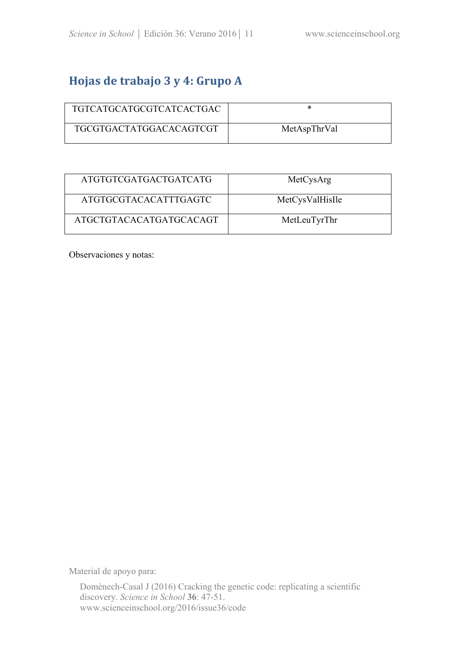### Hojas de trabajo 3 y 4: Grupo A

| TGTCATGCATGCGTCATCACTGAC       | ж            |
|--------------------------------|--------------|
| <b>TGCGTGACTATGGACACAGTCGT</b> | MetAspThrVal |

| ATGTGTCGATGACTGATCATG   | MetCysArg       |
|-------------------------|-----------------|
| ATGTGCGTACACATTTGAGTC   | MetCysValHisIle |
| ATGCTGTACACATGATGCACAGT | MetLeuTyrThr    |

Observaciones y notas:

Material de apoyo para: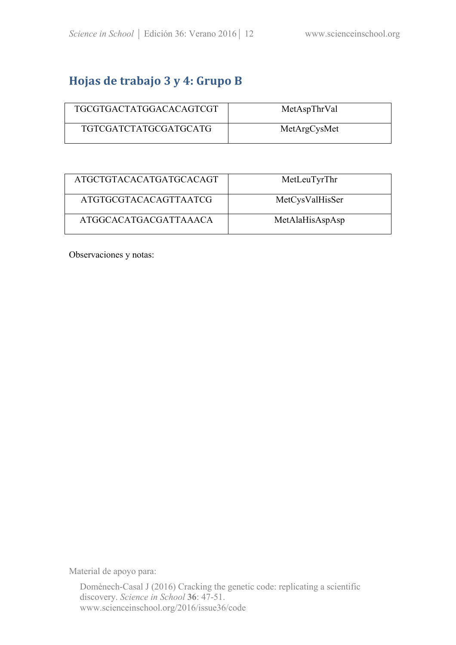### Hojas de trabajo 3 y 4: Grupo B

| <b>TGCGTGACTATGGACACAGTCGT</b> | MetAspThrVal |
|--------------------------------|--------------|
| TGTCGATCTATGCGATGCATG          | MetArgCysMet |

| ATGCTGTACACATGATGCACAGT | MetLeuTyrThr    |
|-------------------------|-----------------|
| ATGTGCGTACACAGTTAATCG   | MetCysValHisSer |
| ATGGCACATGACGATTAAACA   | MetAlaHisAspAsp |

Observaciones y notas:

Material de apoyo para: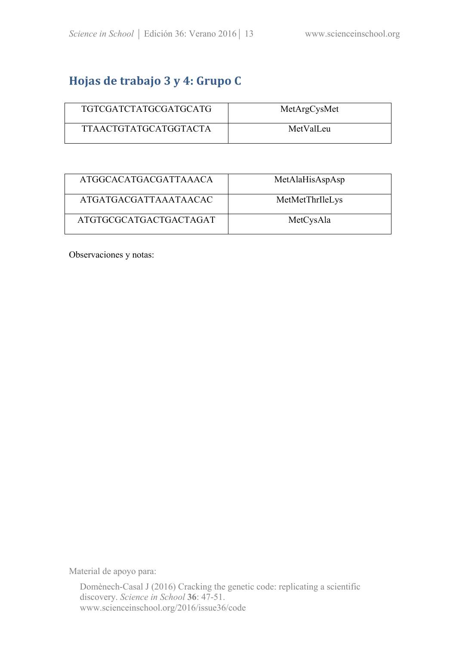### Hojas de trabajo 3 y 4: Grupo C

| TGTCGATCTATGCGATGCATG | MetArgCysMet |  |
|-----------------------|--------------|--|
| TTAACTGTATGCATGGTACTA | MetValLeu    |  |

| ATGGCACATGACGATTAAACA  | MetAlaHisAspAsp |
|------------------------|-----------------|
| ATGATGACGATTAAATAACAC  | MetMetThrIleLys |
| ATGTGCGCATGACTGACTAGAT | MetCysAla       |

Observaciones y notas:

Material de apoyo para: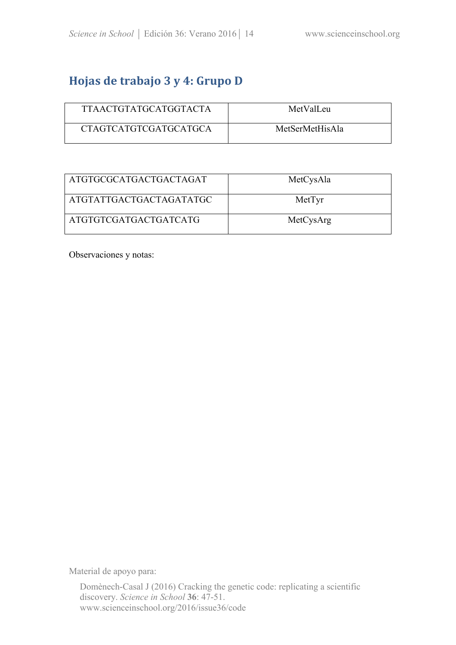### Hojas de trabajo 3 y 4: Grupo D

| TTAACTGTATGCATGGTACTA        | MetValLeu       |  |
|------------------------------|-----------------|--|
| <b>CTAGTCATGTCGATGCATGCA</b> | MetSerMetHisAla |  |

| ATGTGCGCATGACTGACTAGAT  | MetCysAla |
|-------------------------|-----------|
| ATGTATTGACTGACTAGATATGC | MetTyr    |
| ATGTGTCGATGACTGATCATG   | MetCysArg |

Observaciones y notas:

Material de apoyo para: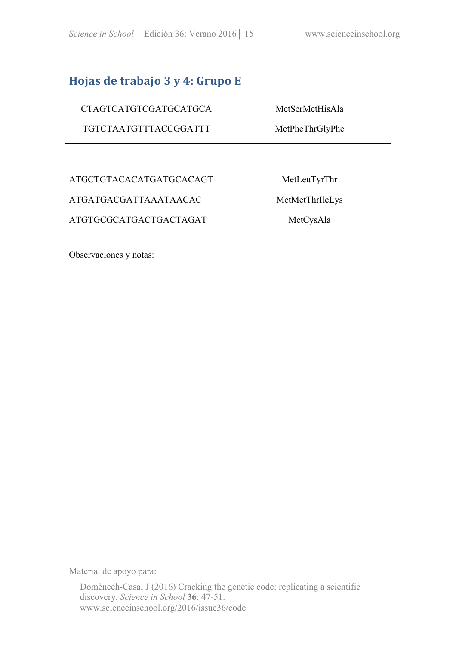### Hojas de trabajo 3 y 4: Grupo E

| <b>CTAGTCATGTCGATGCATGCA</b> | MetSerMetHisAla |
|------------------------------|-----------------|
| TGTCTAATGTTTACCGGATTT        | MetPheThrGlyPhe |

| ATGCTGTACACATGATGCACAGT | MetLeuTyrThr    |
|-------------------------|-----------------|
| ATGATGACGATTAAATAACAC   | MetMetThrIleLys |
| ATGTGCGCATGACTGACTAGAT  | MetCysAla       |

Observaciones y notas:

Material de apoyo para: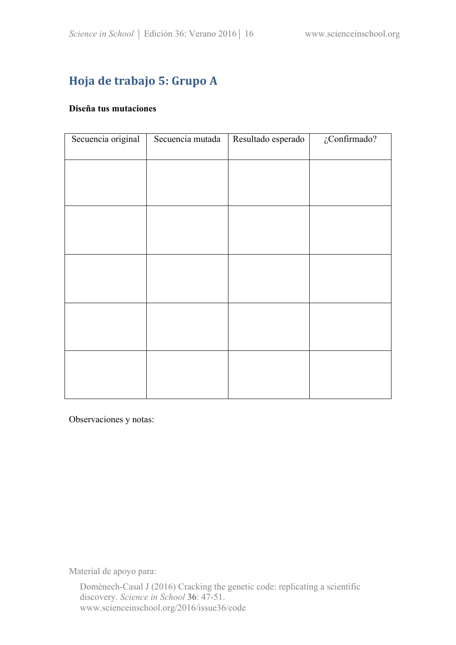# **Hoja de trabajo 5: Grupo A**

#### **Diseña tus mutaciones**

| Secuencia original | Secuencia mutada | Resultado esperado | $\zeta$ Confirmado? |
|--------------------|------------------|--------------------|---------------------|
|                    |                  |                    |                     |
|                    |                  |                    |                     |
|                    |                  |                    |                     |
|                    |                  |                    |                     |
|                    |                  |                    |                     |
|                    |                  |                    |                     |
|                    |                  |                    |                     |
|                    |                  |                    |                     |
|                    |                  |                    |                     |
|                    |                  |                    |                     |
|                    |                  |                    |                     |
|                    |                  |                    |                     |
|                    |                  |                    |                     |

Observaciones y notas:

Material de apoyo para: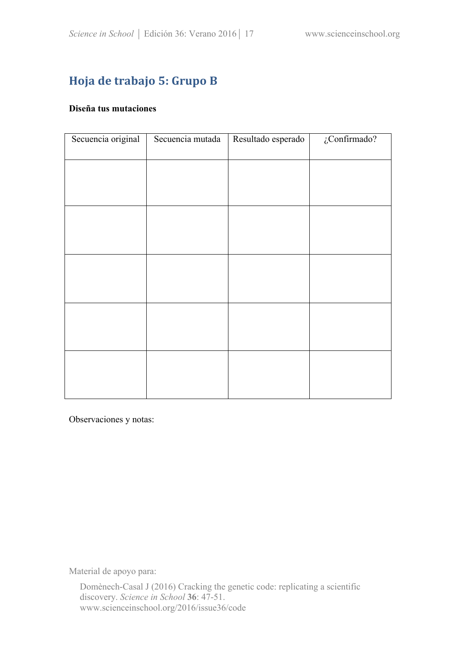# **Hoja de trabajo 5: Grupo B**

#### **Diseña tus mutaciones**

| Secuencia original | Secuencia mutada | Resultado esperado | $\zeta$ Confirmado? |
|--------------------|------------------|--------------------|---------------------|
|                    |                  |                    |                     |
|                    |                  |                    |                     |
|                    |                  |                    |                     |
|                    |                  |                    |                     |
|                    |                  |                    |                     |
|                    |                  |                    |                     |
|                    |                  |                    |                     |
|                    |                  |                    |                     |
|                    |                  |                    |                     |
|                    |                  |                    |                     |
|                    |                  |                    |                     |
|                    |                  |                    |                     |
|                    |                  |                    |                     |

Observaciones y notas:

Material de apoyo para: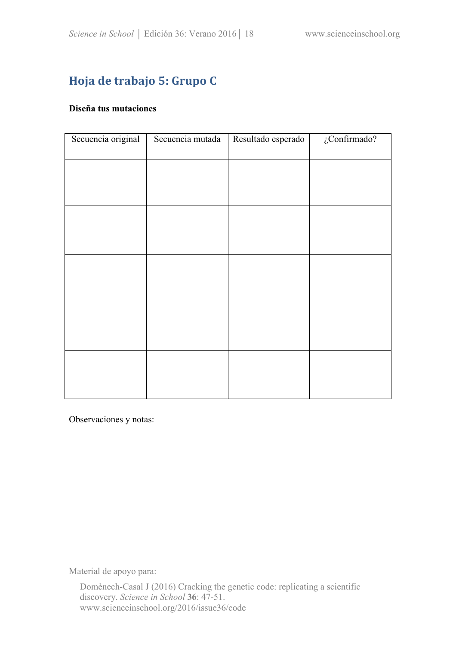# **Hoja de trabajo 5: Grupo C**

#### **Diseña tus mutaciones**

| Secuencia original | Secuencia mutada | Resultado esperado | $\zeta$ Confirmado? |
|--------------------|------------------|--------------------|---------------------|
|                    |                  |                    |                     |
|                    |                  |                    |                     |
|                    |                  |                    |                     |
|                    |                  |                    |                     |
|                    |                  |                    |                     |
|                    |                  |                    |                     |
|                    |                  |                    |                     |
|                    |                  |                    |                     |
|                    |                  |                    |                     |
|                    |                  |                    |                     |
|                    |                  |                    |                     |
|                    |                  |                    |                     |
|                    |                  |                    |                     |

Observaciones y notas:

Material de apoyo para: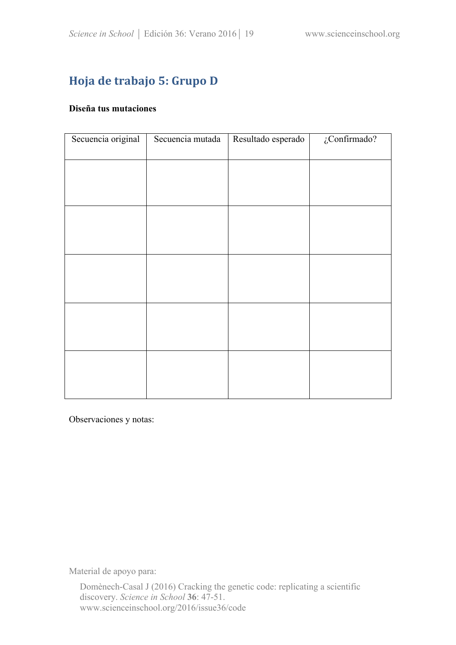# **Hoja de trabajo 5: Grupo D**

#### **Diseña tus mutaciones**

| Secuencia original | Secuencia mutada | Resultado esperado | $\zeta$ Confirmado? |
|--------------------|------------------|--------------------|---------------------|
|                    |                  |                    |                     |
|                    |                  |                    |                     |
|                    |                  |                    |                     |
|                    |                  |                    |                     |
|                    |                  |                    |                     |
|                    |                  |                    |                     |
|                    |                  |                    |                     |
|                    |                  |                    |                     |
|                    |                  |                    |                     |
|                    |                  |                    |                     |
|                    |                  |                    |                     |
|                    |                  |                    |                     |
|                    |                  |                    |                     |

Observaciones y notas:

Material de apoyo para: